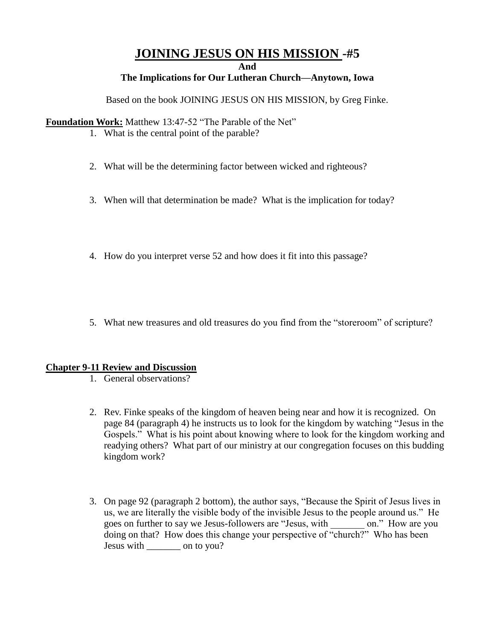## **JOINING JESUS ON HIS MISSION -#5**

**And**

**The Implications for Our Lutheran Church—Anytown, Iowa**

Based on the book JOINING JESUS ON HIS MISSION, by Greg Finke.

**Foundation Work:** Matthew 13:47-52 "The Parable of the Net"

- 1. What is the central point of the parable?
- 2. What will be the determining factor between wicked and righteous?
- 3. When will that determination be made? What is the implication for today?
- 4. How do you interpret verse 52 and how does it fit into this passage?
- 5. What new treasures and old treasures do you find from the "storeroom" of scripture?

## **Chapter 9-11 Review and Discussion**

- 1. General observations?
- 2. Rev. Finke speaks of the kingdom of heaven being near and how it is recognized. On page 84 (paragraph 4) he instructs us to look for the kingdom by watching "Jesus in the Gospels." What is his point about knowing where to look for the kingdom working and readying others? What part of our ministry at our congregation focuses on this budding kingdom work?
- 3. On page 92 (paragraph 2 bottom), the author says, "Because the Spirit of Jesus lives in us, we are literally the visible body of the invisible Jesus to the people around us." He goes on further to say we Jesus-followers are "Jesus, with \_\_\_\_\_\_\_ on." How are you doing on that? How does this change your perspective of "church?" Who has been Jesus with \_\_\_\_\_\_\_ on to you?